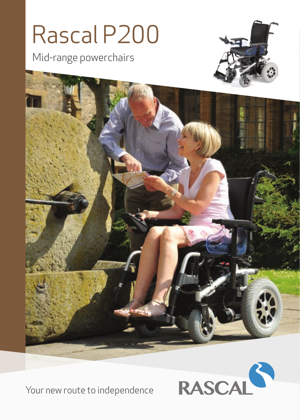## Rascal P200

Mid-range powerchairs







Your new route to independence